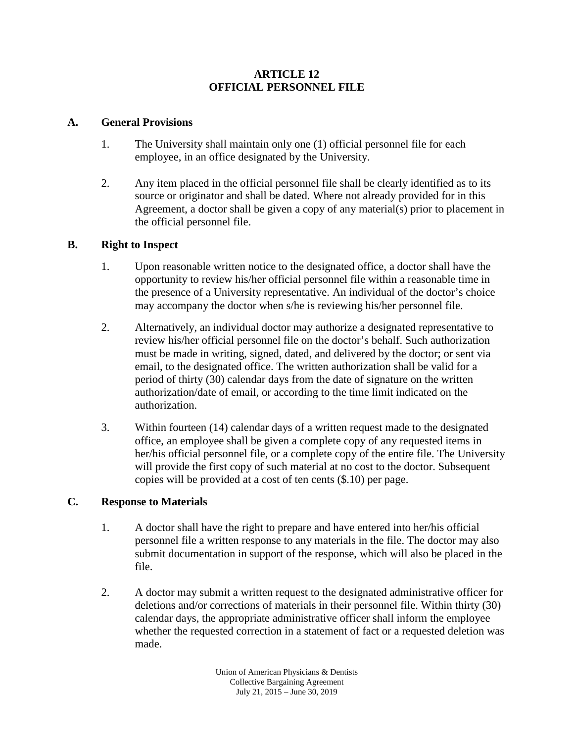## **ARTICLE 12 OFFICIAL PERSONNEL FILE**

## **A. General Provisions**

- 1. The University shall maintain only one (1) official personnel file for each employee, in an office designated by the University.
- 2. Any item placed in the official personnel file shall be clearly identified as to its source or originator and shall be dated. Where not already provided for in this Agreement, a doctor shall be given a copy of any material(s) prior to placement in the official personnel file.

## **B. Right to Inspect**

- 1. Upon reasonable written notice to the designated office, a doctor shall have the opportunity to review his/her official personnel file within a reasonable time in the presence of a University representative. An individual of the doctor's choice may accompany the doctor when s/he is reviewing his/her personnel file.
- 2. Alternatively, an individual doctor may authorize a designated representative to review his/her official personnel file on the doctor's behalf. Such authorization must be made in writing, signed, dated, and delivered by the doctor; or sent via email, to the designated office. The written authorization shall be valid for a period of thirty (30) calendar days from the date of signature on the written authorization/date of email, or according to the time limit indicated on the authorization.
- 3. Within fourteen (14) calendar days of a written request made to the designated office, an employee shall be given a complete copy of any requested items in her/his official personnel file, or a complete copy of the entire file. The University will provide the first copy of such material at no cost to the doctor. Subsequent copies will be provided at a cost of ten cents (\$.10) per page.

# **C. Response to Materials**

- 1. A doctor shall have the right to prepare and have entered into her/his official personnel file a written response to any materials in the file. The doctor may also submit documentation in support of the response, which will also be placed in the file.
- 2. A doctor may submit a written request to the designated administrative officer for deletions and/or corrections of materials in their personnel file. Within thirty (30) calendar days, the appropriate administrative officer shall inform the employee whether the requested correction in a statement of fact or a requested deletion was made.